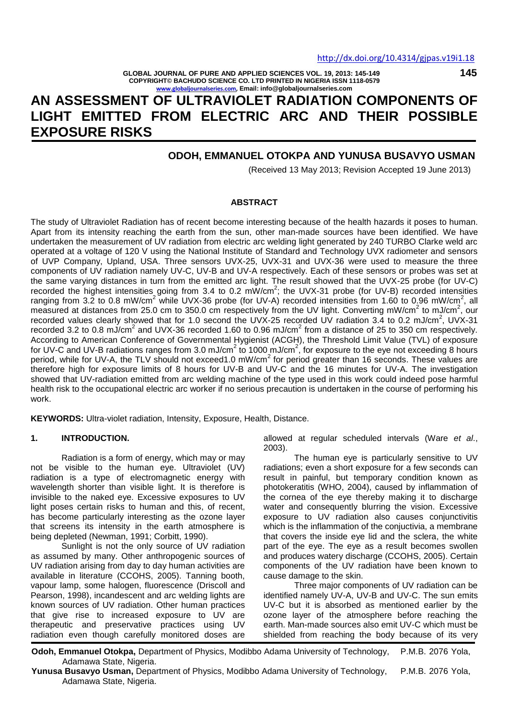**145**

**GLOBAL JOURNAL OF PURE AND APPLIED SCIENCES VOL. 19, 2013: 145-149 COPYRIGHT© BACHUDO SCIENCE CO. LTD PRINTED IN NIGERIA ISSN 1118-0579 [www.globaljournalseries.com,](http://www.globaljournalseries.com/) Email: info@globaljournalseries.com**

# **AN ASSESSMENT OF ULTRAVIOLET RADIATION COMPONENTS OF LIGHT EMITTED FROM ELECTRIC ARC AND THEIR POSSIBLE EXPOSURE RISKS**

## **ODOH, EMMANUEL OTOKPA AND YUNUSA BUSAVYO USMAN**

(Received 13 May 2013; Revision Accepted 19 June 2013)

## **ABSTRACT**

The study of Ultraviolet Radiation has of recent become interesting because of the health hazards it poses to human. Apart from its intensity reaching the earth from the sun, other man-made sources have been identified. We have undertaken the measurement of UV radiation from electric arc welding light generated by 240 TURBO Clarke weld arc operated at a voltage of 120 V using the National Institute of Standard and Technology UVX radiometer and sensors of UVP Company, Upland, USA. Three sensors UVX-25, UVX-31 and UVX-36 were used to measure the three components of UV radiation namely UV-C, UV-B and UV-A respectively. Each of these sensors or probes was set at the same varying distances in turn from the emitted arc light. The result showed that the UVX-25 probe (for UV-C) recorded the highest intensities going from 3.4 to 0.2  $mW/cm^2$ ; the UVX-31 probe (for UV-B) recorded intensities ranging from 3.2 to 0.8 mW/cm<sup>2</sup> while UVX-36 probe (for UV-A) recorded intensities from 1.60 to 0.96 mW/cm<sup>2</sup>, all measured at distances from 25.0 cm to 350.0 cm respectively from the UV light. Converting mW/cm<sup>2</sup> to mJ/cm<sup>2</sup>, our recorded values clearly showed that for 1.0 second the UVX-25 recorded UV radiation 3.4 to 0.2 mJ/cm<sup>2</sup>, UVX-31 recorded 3.2 to 0.8 mJ/cm<sup>2</sup> and UVX-36 recorded 1.60 to 0.96 mJ/cm<sup>2</sup> from a distance of 25 to 350 cm respectively. According to American Conference of Governmental Hygienist (ACGH), the Threshold Limit Value (TVL) of exposure for UV-C and UV-B radiations ranges from 3.0 mJ/cm<sup>2</sup> to 1000 mJ/cm<sup>2</sup>, for exposure to the eye not exceeding 8 hours period, while for UV-A, the TLV should not exceed1.0 mW/cm<sup>2</sup> for period greater than 16 seconds. These values are therefore high for exposure limits of 8 hours for UV-B and UV-C and the 16 minutes for UV-A. The investigation showed that UV-radiation emitted from arc welding machine of the type used in this work could indeed pose harmful health risk to the occupational electric arc worker if no serious precaution is undertaken in the course of performing his work.

**KEYWORDS:** Ultra-violet radiation, Intensity, Exposure, Health, Distance.

## **1. INTRODUCTION.**

Radiation is a form of energy, which may or may not be visible to the human eye. Ultraviolet (UV) radiation is a type of electromagnetic energy with wavelength shorter than visible light. It is therefore is invisible to the naked eye. Excessive exposures to UV light poses certain risks to human and this, of recent, has become particularly interesting as the ozone layer that screens its intensity in the earth atmosphere is being depleted (Newman, 1991; Corbitt, 1990).

Sunlight is not the only source of UV radiation as assumed by many. Other anthropogenic sources of UV radiation arising from day to day human activities are available in literature (CCOHS, 2005). Tanning booth, vapour lamp, some halogen, fluorescence (Driscoll and Pearson, 1998), incandescent and arc welding lights are known sources of UV radiation. Other human practices that give rise to increased exposure to UV are therapeutic and preservative practices using UV radiation even though carefully monitored doses are

allowed at regular scheduled intervals (Ware *et al*., 2003).

The human eye is particularly sensitive to UV radiations; even a short exposure for a few seconds can result in painful, but temporary condition known as photokeratitis (WHO, 2004), caused by inflammation of the cornea of the eye thereby making it to discharge water and consequently blurring the vision. Excessive exposure to UV radiation also causes conjunctivitis which is the inflammation of the conjuctivia, a membrane that covers the inside eye lid and the sclera, the white part of the eye. The eye as a result becomes swollen and produces watery discharge (CCOHS, 2005). Certain components of the UV radiation have been known to cause damage to the skin.

Three major components of UV radiation can be identified namely UV-A, UV-B and UV-C. The sun emits UV-C but it is absorbed as mentioned earlier by the ozone layer of the atmosphere before reaching the earth. Man-made sources also emit UV-C which must be shielded from reaching the body because of its very

**Odoh, Emmanuel Otokpa,** Department of Physics, Modibbo Adama University of Technology, P.M.B. 2076 Yola, Adamawa State, Nigeria.

**Yunusa Busavyo Usman,** Department of Physics, Modibbo Adama University of Technology, P.M.B. 2076 Yola, Adamawa State, Nigeria.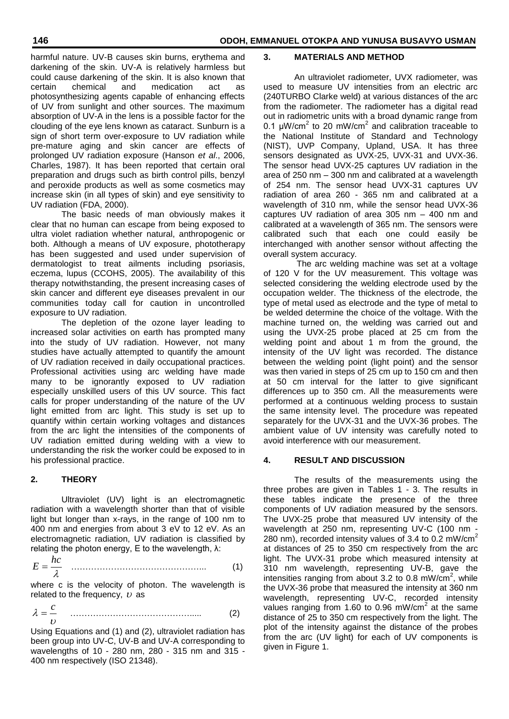harmful nature. UV-B causes skin burns, erythema and darkening of the skin. UV-A is relatively harmless but could cause darkening of the skin. It is also known that **BEKIBELE**certain chemical and medication act as photosynthesizing agents capable of enhancing effects of UV from sunlight and other sources. The maximum absorption of UV-A in the lens is a possible factor for the clouding of the eye lens known as cataract. Sunburn is a sign of short term over-exposure to UV radiation while pre-mature aging and skin cancer are effects of prolonged UV radiation exposure (Hanson *et al*., 2006, Charles, 1987). It has been reported that certain oral preparation and drugs such as birth control pills, benzyl and peroxide products as well as some cosmetics may increase skin (in all types of skin) and eye sensitivity to UV radiation (FDA, 2000).

The basic needs of man obviously makes it clear that no human can escape from being exposed to ultra violet radiation whether natural, anthropogenic or both. Although a means of UV exposure, phototherapy has been suggested and used under supervision of dermatologist to treat ailments including psoriasis, eczema, lupus (CCOHS, 2005). The availability of this therapy notwithstanding, the present increasing cases of skin cancer and different eye diseases prevalent in our communities today call for caution in uncontrolled exposure to UV radiation.

The depletion of the ozone layer leading to increased solar activities on earth has prompted many into the study of UV radiation. However, not many studies have actually attempted to quantify the amount of UV radiation received in daily occupational practices. Professional activities using arc welding have made many to be ignorantly exposed to UV radiation especially unskilled users of this UV source. This fact calls for proper understanding of the nature of the UV light emitted from arc light. This study is set up to quantify within certain working voltages and distances from the arc light the intensities of the components of UV radiation emitted during welding with a view to understanding the risk the worker could be exposed to in his professional practice.

## **2. THEORY**

Ultraviolet (UV) light is an electromagnetic radiation with a wavelength shorter than that of visible light but longer than x-rays, in the range of 100 nm to 400 nm and energies from about 3 eV to 12 eV. As an electromagnetic radiation, UV radiation is classified by relating the photon energy, E to the wavelength,  $λ$ :

$$
E = \frac{hc}{\lambda} \tag{1}
$$

where c is the velocity of photon. The wavelength is related to the frequency,  $\nu$  as

$$
\lambda = \frac{c}{\nu} \tag{2}
$$

Using Equations and (1) and (2), ultraviolet radiation has been group into UV-C, UV-B and UV-A corresponding to wavelengths of 10 - 280 nm, 280 - 315 nm and 315 - 400 nm respectively (ISO 21348).

#### **3. MATERIALS AND METHOD**

An ultraviolet radiometer, UVX radiometer, was used to measure UV intensities from an electric arc (240TURBO Clarke weld) at various distances of the arc from the radiometer. The radiometer has a digital read out in radiometric units with a broad dynamic range from 0.1  $\mu$ W/cm<sup>2</sup> to 20 mW/cm<sup>2</sup> and calibration traceable to the National Institute of Standard and Technology (NIST), UVP Company, Upland, USA. It has three sensors designated as UVX-25, UVX-31 and UVX-36. The sensor head UVX-25 captures UV radiation in the area of 250 nm – 300 nm and calibrated at a wavelength of 254 nm. The sensor head UVX-31 captures UV radiation of area 260 - 365 nm and calibrated at a wavelength of 310 nm, while the sensor head UVX-36 captures UV radiation of area 305 nm – 400 nm and calibrated at a wavelength of 365 nm. The sensors were calibrated such that each one could easily be interchanged with another sensor without affecting the overall system accuracy.

The arc welding machine was set at a voltage of 120 V for the UV measurement. This voltage was selected considering the welding electrode used by the occupation welder. The thickness of the electrode, the type of metal used as electrode and the type of metal to be welded determine the choice of the voltage. With the machine turned on, the welding was carried out and using the UVX-25 probe placed at 25 cm from the welding point and about 1 m from the ground, the intensity of the UV light was recorded. The distance between the welding point (light point) and the sensor was then varied in steps of 25 cm up to 150 cm and then at 50 cm interval for the latter to give significant differences up to 350 cm. All the measurements were performed at a continuous welding process to sustain the same intensity level. The procedure was repeated separately for the UVX-31 and the UVX-36 probes. The ambient value of UV intensity was carefully noted to avoid interference with our measurement.

## **4. RESULT AND DISCUSSION**

The results of the measurements using the three probes are given in Tables 1 - 3. The results in these tables indicate the presence of the three components of UV radiation measured by the sensors. The UVX-25 probe that measured UV intensity of the wavelength at 250 nm, representing UV-C (100 nm - 280 nm), recorded intensity values of 3.4 to 0.2 mW/cm<sup>2</sup> at distances of 25 to 350 cm respectively from the arc light. The UVX-31 probe which measured intensity at 310 nm wavelength, representing UV-B, gave the intensities ranging from about 3.2 to 0.8 mW/cm<sup>2</sup>, while the UVX-36 probe that measured the intensity at 360 nm wavelength, representing UV-C, recorded intensity values ranging from 1.60 to 0.96 mW/cm<sup>2</sup> at the same distance of 25 to 350 cm respectively from the light. The plot of the intensity against the distance of the probes from the arc (UV light) for each of UV components is given in Figure 1.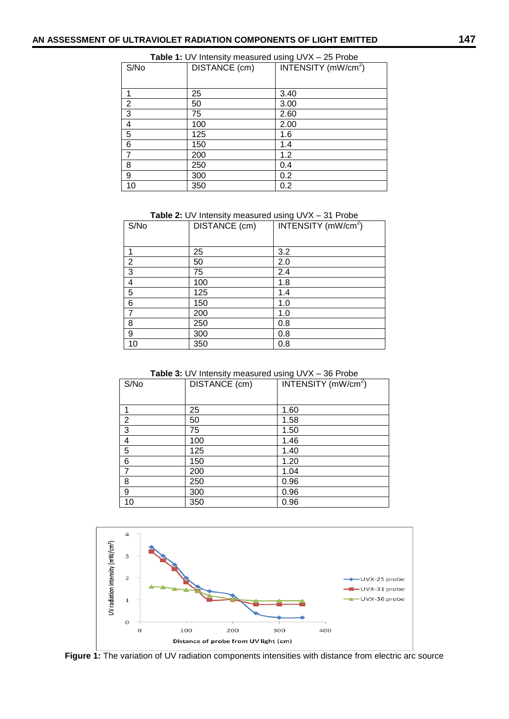| <b>Table 1: UV Intensity measured using UVX - 25 Probe</b> |               |                                 |  |
|------------------------------------------------------------|---------------|---------------------------------|--|
| S/No                                                       | DISTANCE (cm) | INTENSITY (mW/cm <sup>2</sup> ) |  |
|                                                            |               |                                 |  |
|                                                            | 25            | 3.40                            |  |
| $\overline{2}$                                             | 50            | 3.00                            |  |
| 3                                                          | 75            | 2.60                            |  |
| 4                                                          | 100           | 2.00                            |  |
| 5                                                          | 125           | 1.6                             |  |
| 6                                                          | 150           | 1.4                             |  |
| $\overline{7}$                                             | 200           | 1.2                             |  |
| 8                                                          | 250           | 0.4                             |  |
| 9                                                          | 300           | 0.2                             |  |
| 10                                                         | 350           | 0.2                             |  |

**Table 2:** UV Intensity measured using UVX – 31 Probe

| S/No                    | DISTANCE (cm) | INTENSITY $(mW/cm2)$ |
|-------------------------|---------------|----------------------|
|                         |               |                      |
|                         | 25            | 3.2                  |
| $\overline{\mathbf{c}}$ | 50            | 2.0                  |
| $\overline{3}$          | 75            | 2.4                  |
| 4                       | 100           | 1.8                  |
| $\overline{5}$          | 125           | 1.4                  |
| $\overline{6}$          | 150           | 1.0                  |
| $\overline{7}$          | 200           | 1.0                  |
| 8                       | 250           | 0.8                  |
| 9                       | 300           | 0.8                  |
| 10                      | 350           | 0.8                  |

**Table 3:** UV Intensity measured using UVX – 36 Probe

| S/No           | DISTANCE (cm) | –<br>INTENSITY $(mW/cm2)$ |
|----------------|---------------|---------------------------|
|                |               |                           |
|                | 25            | 1.60                      |
| $\overline{2}$ | 50            | 1.58                      |
| 3              | 75            | 1.50                      |
| 4              | 100           | 1.46                      |
| 5              | 125           | 1.40                      |
| 6              | 150           | 1.20                      |
| 7              | 200           | 1.04                      |
| 8              | 250           | 0.96                      |
| 9              | 300           | 0.96                      |
| 10             | 350           | 0.96                      |



**Figure 1:** The variation of UV radiation components intensities with distance from electric arc source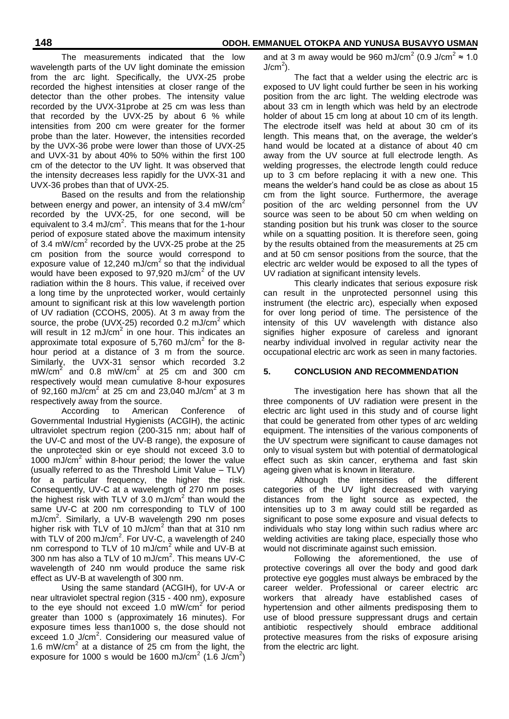The measurements indicated that the low wavelength parts of the UV light dominate the emission from the arc light. Specifically, the UVX-25 probe recorded the highest intensities at closer range of the detector than the other probes. The intensity value recorded by the UVX-31probe at 25 cm was less than that recorded by the UVX-25 by about 6 % while intensities from 200 cm were greater for the former probe than the later. However, the intensities recorded by the UVX-36 probe were lower than those of UVX-25 and UVX-31 by about 40% to 50% within the first 100 cm of the detector to the UV light. It was observed that the intensity decreases less rapidly for the UVX-31 and UVX-36 probes than that of UVX-25.

Based on the results and from the relationship between energy and power, an intensity of 3.4 mW/ $\text{cm}^2$ recorded by the UVX-25, for one second, will be equivalent to  $3.4 \text{ mJ/cm}^2$ . This means that for the 1-hour period of exposure stated above the maximum intensity of 3.4 mW/cm<sup>2</sup> recorded by the UVX-25 probe at the  $25$ cm position from the source would correspond to exposure value of 12,240 mJ/cm<sup>2</sup> so that the individual would have been exposed to 97,920 mJ/cm<sup>2</sup> of the UV radiation within the 8 hours. This value, if received over a long time by the unprotected worker, would certainly amount to significant risk at this low wavelength portion of UV radiation (CCOHS, 2005). At 3 m away from the source, the probe (UVX-25) recorded 0.2 mJ/cm<sup>2</sup> which will result in 12 mJ/cm<sup>2</sup> in one hour. This indicates an approximate total exposure of 5,760 mJ/cm<sup>2</sup> for the 8hour period at a distance of 3 m from the source. Similarly, the UVX-31 sensor which recorded 3.2  $mW/cm<sup>2</sup>$  and 0.8 mW/cm<sup>2</sup> at 25 cm and 300 cm respectively would mean cumulative 8-hour exposures of 92,160 mJ/cm<sup>2</sup> at 25 cm and 23,040 mJ/cm<sup>2</sup> at 3 m respectively away from the source.

According to American Conference of Governmental Industrial Hygienists (ACGIH), the actinic ultraviolet spectrum region (200-315 nm; about half of the UV-C and most of the UV-B range), the exposure of the unprotected skin or eye should not exceed 3.0 to 1000 mJ/ $cm<sup>2</sup>$  within 8-hour period; the lower the value (usually referred to as the Threshold Limit Value – TLV) for a particular frequency, the higher the risk. Consequently, UV-C at a wavelength of 270 nm poses the highest risk with TLV of 3.0 mJ/cm<sup>2</sup> than would the same UV-C at 200 nm corresponding to TLV of 100 mJ/cm<sup>2</sup>. Similarly, a UV-B wavelength 290 nm poses higher risk with TLV of 10 mJ/cm<sup>2</sup> than that at 310 nm with TLV of 200 mJ/cm<sup>2</sup>. For UV-C, a wavelength of 240 nm correspond to TLV of 10 mJ/cm<sup>2</sup> while and UV-B at 300 nm has also a TLV of 10 mJ/cm<sup>2</sup>. This means UV-C wavelength of 240 nm would produce the same risk effect as UV-B at wavelength of 300 nm.

Using the same standard (ACGIH), for UV-A or near ultraviolet spectral region (315 - 400 nm), exposure to the eye should not exceed 1.0 mW/cm<sup>2</sup> for period greater than 1000 s (approximately 16 minutes). For exposure times less than1000 s, the dose should not exceed 1.0 J/cm<sup>2</sup>. Considering our measured value of 1.6 mW/cm<sup>2</sup> at a distance of  $25$  cm from the light, the exposure for 1000 s would be 1600 mJ/cm<sup>2</sup> (1.6 J/cm<sup>2</sup>)

and at 3 m away would be 960 mJ/cm<sup>2</sup> (0.9 J/cm<sup>2</sup>  $\approx$  1.0  $J/cm<sup>2</sup>$ ).

The fact that a welder using the electric arc is exposed to UV light could further be seen in his working position from the arc light. The welding electrode was about 33 cm in length which was held by an electrode holder of about 15 cm long at about 10 cm of its length. The electrode itself was held at about 30 cm of its length. This means that, on the average, the welder's hand would be located at a distance of about 40 cm away from the UV source at full electrode length. As welding progresses, the electrode length could reduce up to 3 cm before replacing it with a new one. This means the welder's hand could be as close as about 15 cm from the light source. Furthermore, the average position of the arc welding personnel from the UV source was seen to be about 50 cm when welding on standing position but his trunk was closer to the source while on a squatting position. It is therefore seen, going by the results obtained from the measurements at 25 cm and at 50 cm sensor positions from the source, that the electric arc welder would be exposed to all the types of UV radiation at significant intensity levels.

This clearly indicates that serious exposure risk can result in the unprotected personnel using this instrument (the electric arc), especially when exposed for over long period of time. The persistence of the intensity of this UV wavelength with distance also signifies higher exposure of careless and ignorant nearby individual involved in regular activity near the occupational electric arc work as seen in many factories.

## **5. CONCLUSION AND RECOMMENDATION**

The investigation here has shown that all the three components of UV radiation were present in the electric arc light used in this study and of course light that could be generated from other types of arc welding equipment. The intensities of the various components of the UV spectrum were significant to cause damages not only to visual system but with potential of dermatological effect such as skin cancer, erythema and fast skin ageing given what is known in literature.

Although the intensities of the different categories of the UV light decreased with varying distances from the light source as expected, the intensities up to 3 m away could still be regarded as significant to pose some exposure and visual defects to individuals who stay long within such radius where arc welding activities are taking place, especially those who would not discriminate against such emission.

Following the aforementioned, the use of protective coverings all over the body and good dark protective eye goggles must always be embraced by the career welder. Professional or career electric arc workers that already have established cases of hypertension and other ailments predisposing them to use of blood pressure suppressant drugs and certain antibiotic respectively should embrace additional protective measures from the risks of exposure arising from the electric arc light.